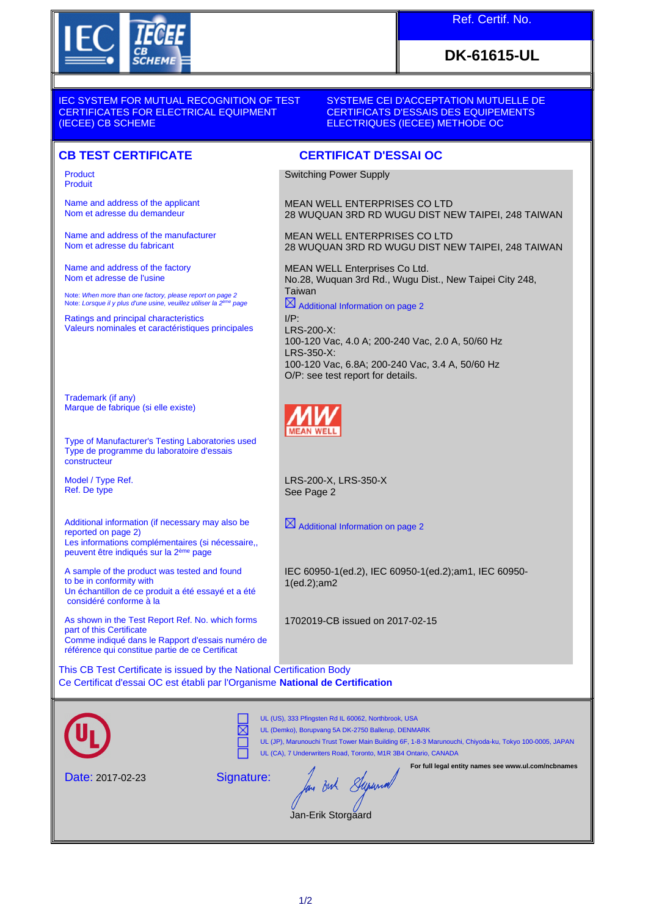

## Ref. Certif. No.

## **DK-61615-UL**

IEC SYSTEM FOR MUTUAL RECOGNITION OF TEST CERTIFICATES FOR ELECTRICAL EQUIPMENT (IECEE) CB SCHEME

## SYSTEME CEI D'ACCEPTATION MUTUELLE DE CERTIFICATS D'ESSAIS DES EQUIPEMENTS ELECTRIQUES (IECEE) METHODE OC

28 WUQUAN 3RD RD WUGU DIST NEW TAIPEI, 248 TAIWAN

28 WUQUAN 3RD RD WUGU DIST NEW TAIPEI, 248 TAIWAN

No.28, Wuquan 3rd Rd., Wugu Dist., New Taipei City 248,

100-120 Vac, 4.0 A; 200-240 Vac, 2.0 A, 50/60 Hz

100-120 Vac, 6.8A; 200-240 Vac, 3.4 A, 50/60 Hz

## **CB TEST CERTIFICATE CERTIFICAT D'ESSAI OC**

Product Produit

Name and address of the applicant Nom et adresse du demandeur

Name and address of the manufacturer Nom et adresse du fabricant

Name and address of the factory Nom et adresse de l'usine

Note: *When more than one factory, please report on page 2*<br>Note: *Lorsque il y plus d'une usine, veuillez utiliser la 2<sup>ème</sup> page* 

Ratings and principal characteristics Valeurs nominales et caractéristiques principales

Trademark (if any) Marque de fabrique (si elle existe)

Type of Manufacturer's Testing Laboratories used Type de programme du laboratoire d'essais constructeur

Model / Type Ref. Ref. De type

Additional information (if necessary may also be reported on page 2) Les informations complémentaires (si nécessaire,, peuvent être indiqués sur la 2ème page

A sample of the product was tested and found to be in conformity with Un échantillon de ce produit a été essayé et a été considéré conforme à la

As shown in the Test Report Ref. No. which forms part of this Certificate Comme indiqué dans le Rapport d'essais numéro de référence qui constitue partie de ce Certificat

This CB Test Certificate is issued by the National Certification Body Ce Certificat d'essai OC est établi par l'Organisme **National de Certification**

Signature:

⋉



UL (US), 333 Pfingsten Rd IL 60062, Northbrook, USA UL (Demko), Borupvang 5A DK-2750 Ballerup, DENMARK

Date: 2017-02-23

UL (JP), Marunouchi Trust Tower Main Building 6F, 1-8-3 Marunouchi, Chiyoda-ku, Tokyo 100-0005, JAPAN

UL (CA), 7 Underwriters Road, Toronto, M1R 3B4 Ontario, CANADA

**For full legal entity names see www.ul.com/ncbnames**

m Bert Super

Jan-Erik Storgaard

 $\boxtimes$  Additional Information on page 2

See Page 2

LRS-200-X, LRS-350-X

Switching Power Supply

Taiwan

LRS-200-X:

LRS-350-X:

I/P:

MEAN WELL ENTERPRISES CO LTD

MEAN WELL ENTERPRISES CO LTD

MEAN WELL Enterprises Co Ltd.

Additional Information on page 2

O/P: see test report for details.

IEC 60950-1(ed.2), IEC 60950-1(ed.2);am1, IEC 60950- 1(ed.2);am2

1702019-CB issued on 2017-02-15